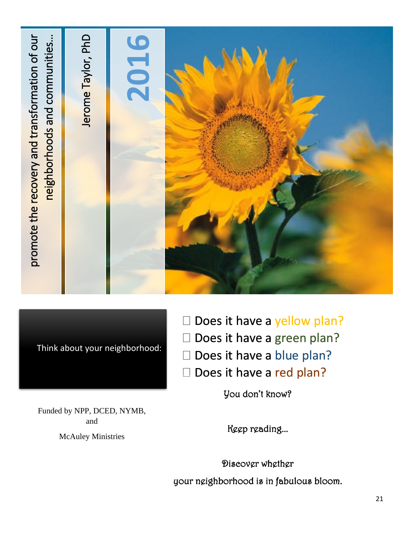

Think about your neighborhood:

- $\square$  Does it have a yellow plan?
- D Does it have a green plan?
- Does it have a blue plan?
- Does it have a red plan?

You don't know?

Funded by NPP, DCED, NYMB, and

McAuley Ministries

ľ Keep reading...

Ī your neighborhood is in fabulous bloom Discover whether your neighborhood is in fabulous bloom.